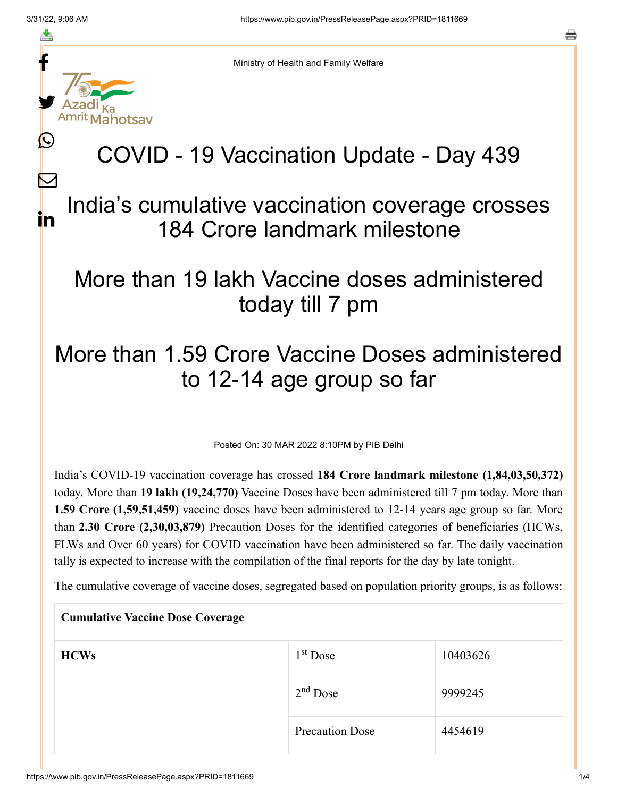f

≛

y.

lahotsav

L

 $\bm{\nabla}$ 

in

Ministry of Health and Family Welfare

## COVID - 19 Vaccination Update - Day 439

## India's cumulative vaccination coverage crosses 184 Crore landmark milestone

## More than 19 lakh Vaccine doses administered today till 7 pm

## More than 1.59 Crore Vaccine Doses administered to 12-14 age group so far

Posted On: 30 MAR 2022 8:10PM by PIB Delhi

India's COVID-19 vaccination coverage has crossed **184 Crore landmark milestone (1,84,03,50,372)** today. More than **19 lakh (19,24,770)** Vaccine Doses have been administered till 7 pm today. More than **1.59 Crore (1,59,51,459)** vaccine doses have been administered to 12-14 years age group so far. More than **2.30 Crore (2,30,03,879)** Precaution Doses for the identified categories of beneficiaries (HCWs, FLWs and Over 60 years) for COVID vaccination have been administered so far. The daily vaccination tally is expected to increase with the compilation of the final reports for the day by late tonight.

The cumulative coverage of vaccine doses, segregated based on population priority groups, is as follows:

| <b>Cumulative Vaccine Dose Coverage</b> |                        |          |
|-----------------------------------------|------------------------|----------|
| <b>HCWs</b>                             | $1st$ Dose             | 10403626 |
|                                         | $2nd$ Dose             | 9999245  |
|                                         | <b>Precaution Dose</b> | 4454619  |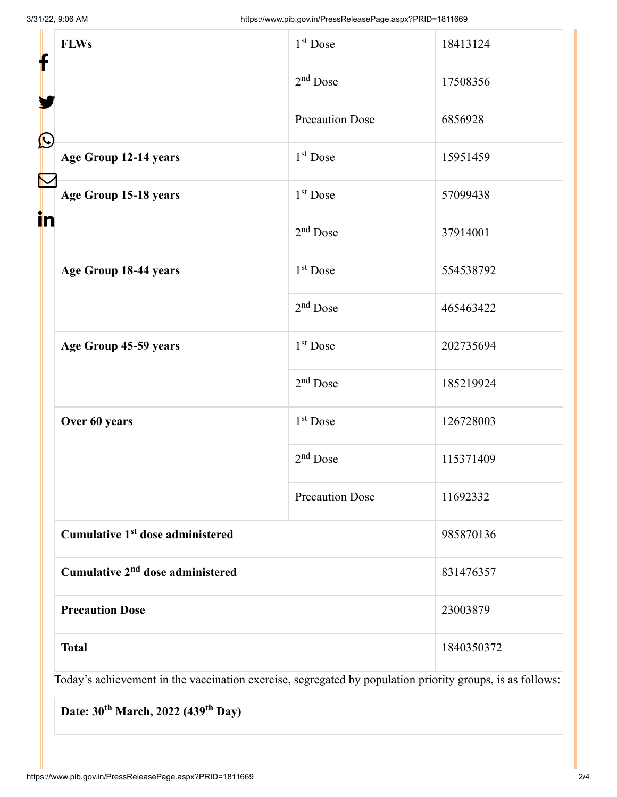| <b>FLWs</b><br>f |                                              | $1st$ Dose             | 18413124   |
|------------------|----------------------------------------------|------------------------|------------|
|                  |                                              | $2nd$ Dose             | 17508356   |
| $\bf \Omega$     |                                              | <b>Precaution Dose</b> | 6856928    |
|                  | Age Group 12-14 years                        | $1st$ Dose             | 15951459   |
|                  | Age Group 15-18 years                        | $1st$ Dose             | 57099438   |
| in               |                                              | $2nd$ Dose             | 37914001   |
|                  | Age Group 18-44 years                        | $1st$ Dose             | 554538792  |
|                  |                                              | $2nd$ Dose             | 465463422  |
|                  | Age Group 45-59 years                        | 1 <sup>st</sup> Dose   | 202735694  |
|                  |                                              | $2nd$ Dose             | 185219924  |
|                  | Over 60 years                                | $1st$ Dose             | 126728003  |
|                  |                                              | $2nd$ Dose             | 115371409  |
|                  |                                              | <b>Precaution Dose</b> | 11692332   |
|                  | Cumulative 1 <sup>st</sup> dose administered |                        | 985870136  |
|                  | Cumulative 2 <sup>nd</sup> dose administered |                        | 831476357  |
|                  | <b>Precaution Dose</b>                       |                        | 23003879   |
|                  | <b>Total</b>                                 |                        | 1840350372 |

Today's achievement in the vaccination exercise, segregated by population priority groups, is as follows:

Date: 30<sup>th</sup> March, 2022 (439<sup>th</sup> Day)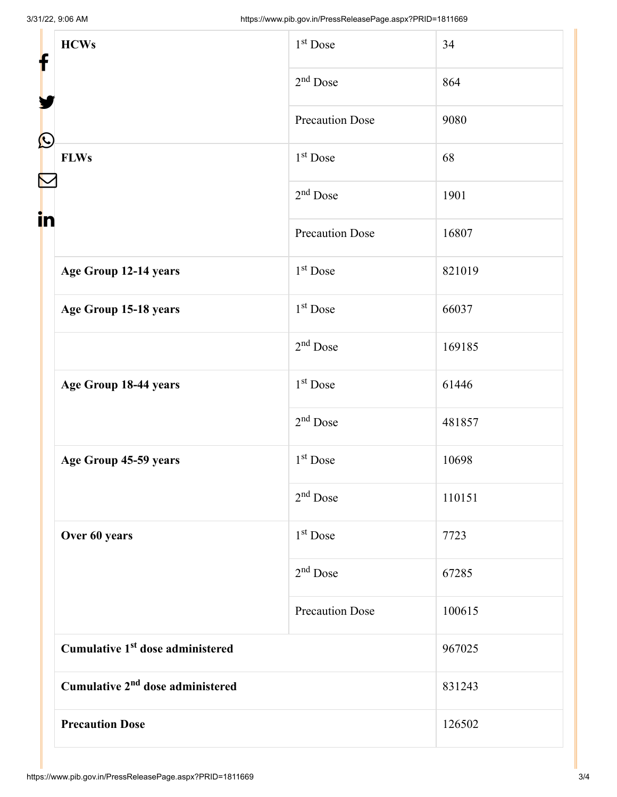| f            | <b>HCWs</b>                                  | $1st$ Dose             | 34     |
|--------------|----------------------------------------------|------------------------|--------|
|              |                                              | $2nd$ Dose             | 864    |
| $\bf \Omega$ |                                              | <b>Precaution Dose</b> | 9080   |
|              | <b>FLWs</b>                                  | $1st$ Dose             | 68     |
| in           |                                              | $2nd$ Dose             | 1901   |
|              |                                              | <b>Precaution Dose</b> | 16807  |
|              | Age Group 12-14 years                        | $1st$ Dose             | 821019 |
|              | Age Group 15-18 years                        | $1st$ Dose             | 66037  |
|              |                                              | $2nd$ Dose             | 169185 |
|              | Age Group 18-44 years                        | $1st$ Dose             | 61446  |
|              |                                              | $2nd$ Dose             | 481857 |
|              | Age Group 45-59 years                        | $1st$ Dose             | 10698  |
|              |                                              | $2nd$ Dose             | 110151 |
|              | Over 60 years                                | 1 <sup>st</sup> Dose   | 7723   |
|              |                                              | $2nd$ Dose             | 67285  |
|              |                                              | <b>Precaution Dose</b> | 100615 |
|              | Cumulative 1 <sup>st</sup> dose administered |                        | 967025 |
|              | Cumulative 2 <sup>nd</sup> dose administered |                        | 831243 |
|              | <b>Precaution Dose</b>                       |                        | 126502 |